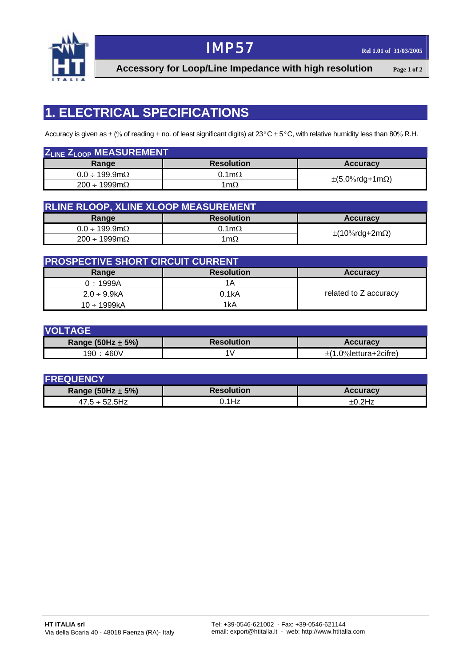

# **IMP57 Rel 1.01 of 31/03/2005**

**Accessory for Loop/Line Impedance with high resolution Page 1 of 2**

## **1. ELECTRICAL SPECIFICATIONS**

Accuracy is given as  $\pm$  (% of reading + no. of least significant digits) at 23°C  $\pm$  5°C, with relative humidity less than 80% R.H.

| Z <sub>LINE</sub> Z <sub>LOOP</sub> MEASUREMENT |                      |                              |  |
|-------------------------------------------------|----------------------|------------------------------|--|
| Range                                           | <b>Resolution</b>    | <b>Accuracy</b>              |  |
| $0.0 \div 199.9 \text{m}\Omega$                 | $0.1 \text{m}\Omega$ |                              |  |
| $200 \div 1999 \text{m}\Omega$                  | 1m $\Omega$          | $\pm$ (5.0%rdg+1m $\Omega$ ) |  |

| <b>RLINE RLOOP, XLINE XLOOP MEASUREMENT</b> |                      |                             |  |
|---------------------------------------------|----------------------|-----------------------------|--|
| Range                                       | <b>Resolution</b>    | <b>Accuracy</b>             |  |
| $0.0 \div 199.9 \text{m}\Omega$             | $0.1 \text{m}\Omega$ |                             |  |
| $200 \div 1999 \text{m}\Omega$              | 1m $\Omega$          | $\pm$ (10%rdg+2m $\Omega$ ) |  |

| <b>PROSPECTIVE SHORT CIRCUIT CURRENT</b> |                   |                       |  |
|------------------------------------------|-------------------|-----------------------|--|
| Range                                    | <b>Resolution</b> | <b>Accuracy</b>       |  |
| $0 \div 1999A$                           | 1Α                |                       |  |
| $2.0 \div 9.9$ kA                        | 0.1kA             | related to Z accuracy |  |
| $10 \div 1999kA$                         | 1kA               |                       |  |

| <b>VOLTAGE</b>        |                   |                       |  |
|-----------------------|-------------------|-----------------------|--|
| Range (50Hz $\pm$ 5%) | <b>Resolution</b> | <b>Accuracy</b>       |  |
| 190 ÷ 460V            |                   | ±(1.0%lettura+2cifre) |  |

| <b>FREQUENCY</b>      |                   |                 |  |
|-----------------------|-------------------|-----------------|--|
| Range (50Hz $\pm$ 5%) | <b>Resolution</b> | <b>Accuracy</b> |  |
| $47.5 \div 52.5$ Hz   | .1Hz              | $+0.2$ Hz       |  |